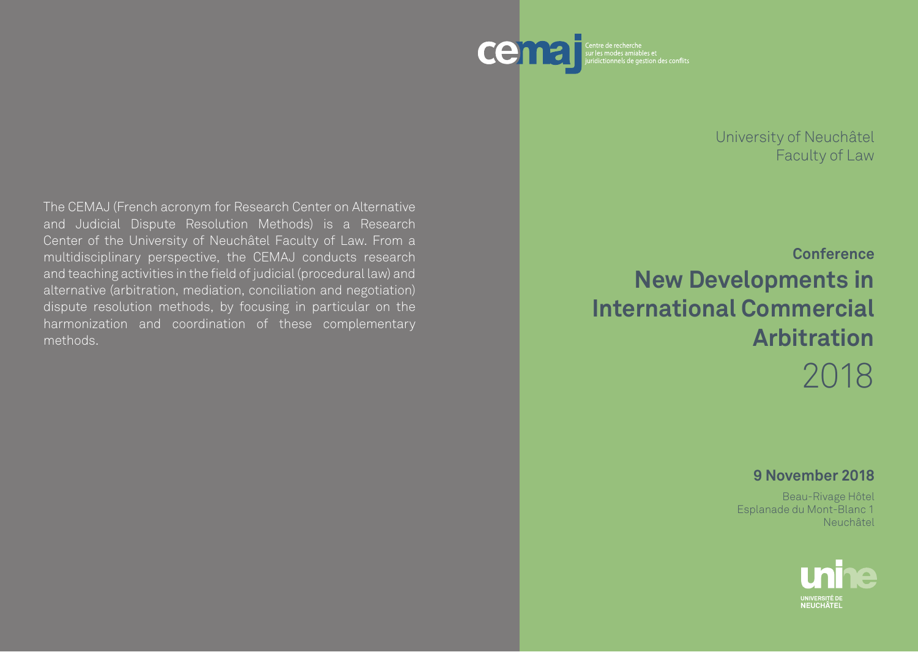

# University of Neuchâtel Faculty of Law

The CEMAJ (French acronym for Research Center on Alternative and Judicial Dispute Resolution Methods) is a Research Center of the University of Neuchâtel Faculty of Law. From a multidisciplinary perspective, the CEMAJ conducts research and teaching activities in the field of judicial (procedural law) and alternative (arbitration, mediation, conciliation and negotiation) dispute resolution methods, by focusing in particular on the harmonization and coordination of these complementary methods.

# **Conference New Developments in International Commercial Arbitration** 2018

## **9 November 2018**

Beau-Rivage Hôtel Esplanade du Mont-Blanc 1 Neuchâtel